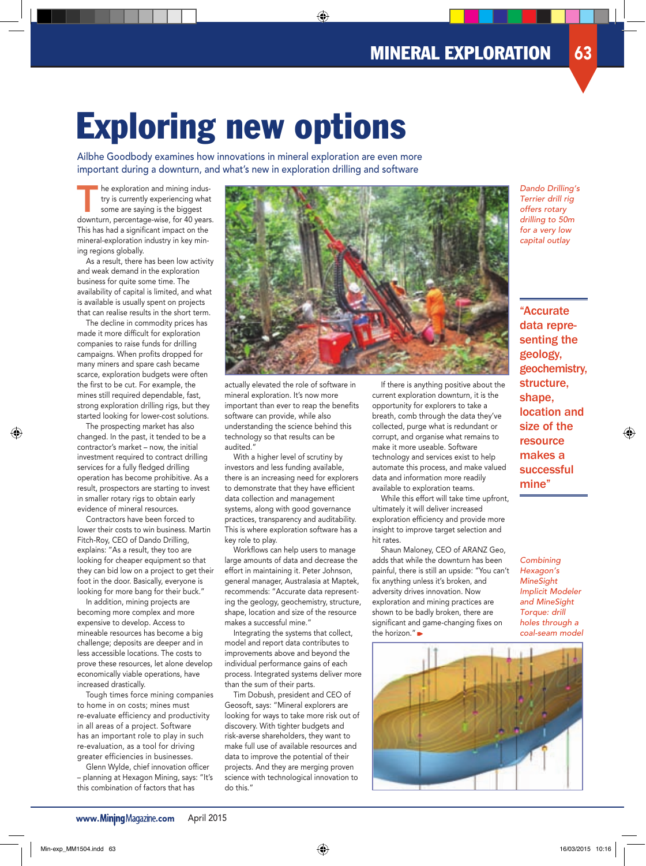# Exploring new options

Ailbhe Goodbody examines how innovations in mineral exploration are even more important during a downturn, and what's new in exploration drilling and software

The exploration and mining indus-<br>
try is currently experiencing what<br>
some are saying is the biggest<br>
downturn percentage wise for 40 years try is currently experiencing what downturn, percentage-wise, for 40 years. This has had a significant impact on the mineral-exploration industry in key mining regions globally.

As a result, there has been low activity and weak demand in the exploration business for quite some time. The availability of capital is limited, and what is available is usually spent on projects that can realise results in the short term.

The decline in commodity prices has made it more difficult for exploration companies to raise funds for drilling campaigns. When profits dropped for many miners and spare cash became scarce, exploration budgets were often the first to be cut. For example, the mines still required dependable, fast, strong exploration drilling rigs, but they started looking for lower-cost solutions.

The prospecting market has also changed. In the past, it tended to be a contractor's market – now, the initial investment required to contract drilling services for a fully fledged drilling operation has become prohibitive. As a result, prospectors are starting to invest in smaller rotary rigs to obtain early evidence of mineral resources.

Contractors have been forced to lower their costs to win business. Martin Fitch-Roy, CEO of Dando Drilling, explains: "As a result, they too are looking for cheaper equipment so that they can bid low on a project to get their foot in the door. Basically, everyone is looking for more bang for their buck."

In addition, mining projects are becoming more complex and more expensive to develop. Access to mineable resources has become a big challenge; deposits are deeper and in less accessible locations. The costs to prove these resources, let alone develop economically viable operations, have increased drastically.

Tough times force mining companies to home in on costs; mines must re-evaluate efficiency and productivity in all areas of a project. Software has an important role to play in such re-evaluation, as a tool for driving greater efficiencies in businesses.

Glenn Wylde, chief innovation officer – planning at Hexagon Mining, says: "It's this combination of factors that has



actually elevated the role of software in mineral exploration. It's now more important than ever to reap the benefits software can provide, while also understanding the science behind this technology so that results can be audited."

With a higher level of scrutiny by investors and less funding available, there is an increasing need for explorers to demonstrate that they have efficient data collection and management systems, along with good governance practices, transparency and auditability. This is where exploration software has a key role to play.

Workflows can help users to manage large amounts of data and decrease the effort in maintaining it. Peter Johnson, general manager, Australasia at Maptek, recommends: "Accurate data representing the geology, geochemistry, structure, shape, location and size of the resource makes a successful mine."

Integrating the systems that collect, model and report data contributes to improvements above and beyond the individual performance gains of each process. Integrated systems deliver more than the sum of their parts.

Tim Dobush, president and CEO of Geosoft, says: "Mineral explorers are looking for ways to take more risk out of discovery. With tighter budgets and risk-averse shareholders, they want to make full use of available resources and data to improve the potential of their projects. And they are merging proven science with technological innovation to do this."

If there is anything positive about the current exploration downturn, it is the opportunity for explorers to take a breath, comb through the data they've collected, purge what is redundant or corrupt, and organise what remains to make it more useable. Software technology and services exist to help automate this process, and make valued data and information more readily available to exploration teams.

While this effort will take time upfront, ultimately it will deliver increased exploration efficiency and provide more insight to improve target selection and hit rates.

Shaun Maloney, CEO of ARANZ Geo, adds that while the downturn has been painful, there is still an upside: "You can't fix anything unless it's broken, and adversity drives innovation. Now exploration and mining practices are shown to be badly broken, there are significant and game-changing fixes on the horizon."



Dando Drilling's Terrier drill rig offers rotary drilling to 50m for a very low capital outlay

"Accurate data representing the geology, geochemistry, structure, shape, location and size of the resource makes a successful mine"

**Combining** Hexagon's **MineSight** Implicit Modeler and MineSight Torque: drill holes through a coal-seam model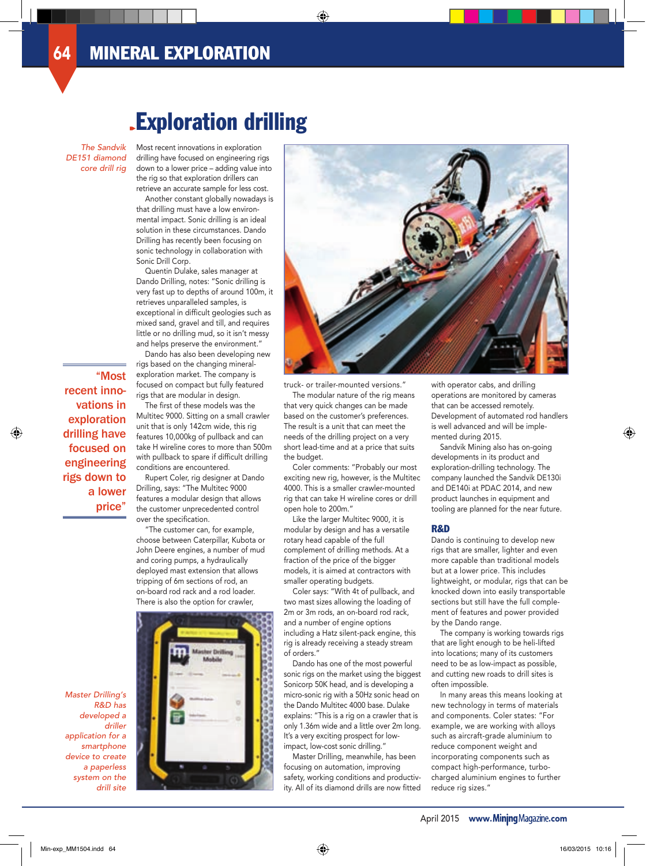# Exploration drilling

### The Sandvik DE151 diamond core drill rig

"Most

recent innovations in exploration drilling have focused on engineering rigs down to a lower price"

Most recent innovations in exploration drilling have focused on engineering rigs down to a lower price – adding value into the rig so that exploration drillers can retrieve an accurate sample for less cost.

Another constant globally nowadays is that drilling must have a low environmental impact. Sonic drilling is an ideal solution in these circumstances. Dando Drilling has recently been focusing on sonic technology in collaboration with Sonic Drill Corp.

Quentin Dulake, sales manager at Dando Drilling, notes: "Sonic drilling is very fast up to depths of around 100m, it retrieves unparalleled samples, is exceptional in difficult geologies such as mixed sand, gravel and till, and requires little or no drilling mud, so it isn't messy and helps preserve the environment."

Dando has also been developing new rigs based on the changing mineralexploration market. The company is focused on compact but fully featured rigs that are modular in design.

The first of these models was the Multitec 9000. Sitting on a small crawler unit that is only 142cm wide, this rig features 10,000kg of pullback and can take H wireline cores to more than 500m with pullback to spare if difficult drilling conditions are encountered.

Rupert Coler, rig designer at Dando Drilling, says: "The Multitec 9000 features a modular design that allows the customer unprecedented control over the specification.

"The customer can, for example, choose between Caterpillar, Kubota or John Deere engines, a number of mud and coring pumps, a hydraulically deployed mast extension that allows tripping of 6m sections of rod, an on-board rod rack and a rod loader. There is also the option for crawler,



truck- or trailer-mounted versions." The modular nature of the rig means that very quick changes can be made based on the customer's preferences. The result is a unit that can meet the needs of the drilling project on a very short lead-time and at a price that suits the budget.

Coler comments: "Probably our most exciting new rig, however, is the Multitec 4000. This is a smaller crawler-mounted rig that can take H wireline cores or drill open hole to 200m."

Like the larger Multitec 9000, it is modular by design and has a versatile rotary head capable of the full complement of drilling methods. At a fraction of the price of the bigger models, it is aimed at contractors with smaller operating budgets.

Coler says: "With 4t of pullback, and two mast sizes allowing the loading of 2m or 3m rods, an on-board rod rack, and a number of engine options including a Hatz silent-pack engine, this rig is already receiving a steady stream of orders."

Dando has one of the most powerful sonic rigs on the market using the biggest Sonicorp 50K head, and is developing a micro-sonic rig with a 50Hz sonic head on the Dando Multitec 4000 base. Dulake explains: "This is a rig on a crawler that is only 1.36m wide and a little over 2m long. It's a very exciting prospect for lowimpact, low-cost sonic drilling."

Master Drilling, meanwhile, has been focusing on automation, improving safety, working conditions and productivity. All of its diamond drills are now fitted with operator cabs, and drilling operations are monitored by cameras that can be accessed remotely. Development of automated rod handlers is well advanced and will be implemented during 2015.

Sandvik Mining also has on-going developments in its product and exploration-drilling technology. The company launched the Sandvik DE130i and DE140i at PDAC 2014, and new product launches in equipment and tooling are planned for the near future.

### R&D

Dando is continuing to develop new rigs that are smaller, lighter and even more capable than traditional models but at a lower price. This includes lightweight, or modular, rigs that can be knocked down into easily transportable sections but still have the full complement of features and power provided by the Dando range.

The company is working towards rigs that are light enough to be heli-lifted into locations; many of its customers need to be as low-impact as possible, and cutting new roads to drill sites is often impossible.

In many areas this means looking at new technology in terms of materials and components. Coler states: "For example, we are working with alloys such as aircraft-grade aluminium to reduce component weight and incorporating components such as compact high-performance, turbocharged aluminium engines to further reduce rig sizes."

Master Drilling's R&D has developed a driller application for a smartphone device to create a paperless system on the drill site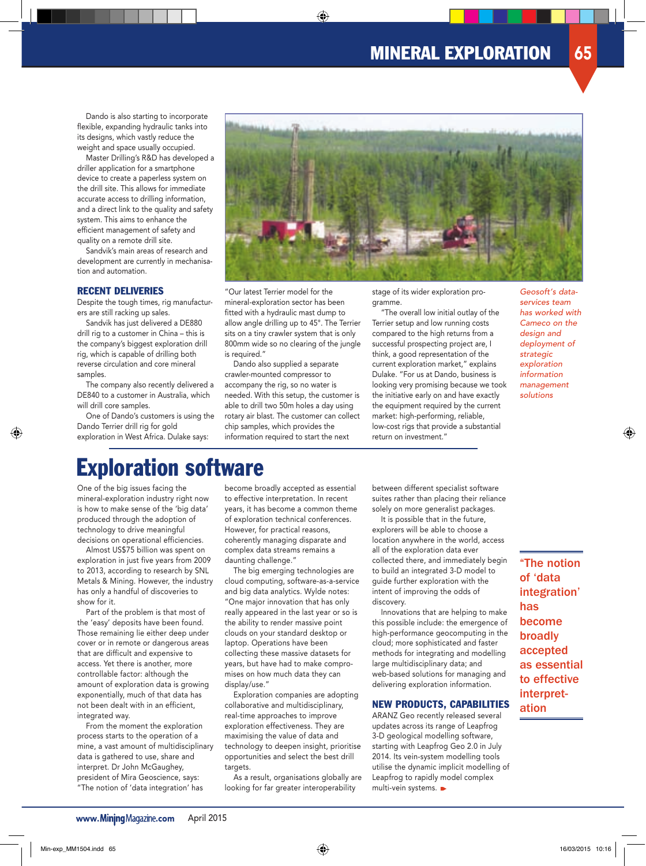Dando is also starting to incorporate flexible, expanding hydraulic tanks into its designs, which vastly reduce the weight and space usually occupied.

Master Drilling's R&D has developed a driller application for a smartphone device to create a paperless system on the drill site. This allows for immediate accurate access to drilling information, and a direct link to the quality and safety system. This aims to enhance the efficient management of safety and quality on a remote drill site.

Sandvik's main areas of research and development are currently in mechanisation and automation.

### RECENT DELIVERIES

Despite the tough times, rig manufacturers are still racking up sales.

Sandvik has just delivered a DE880 drill rig to a customer in China – this is the company's biggest exploration drill rig, which is capable of drilling both reverse circulation and core mineral samples.

The company also recently delivered a DE840 to a customer in Australia, which will drill core samples.

One of Dando's customers is using the Dando Terrier drill rig for gold exploration in West Africa. Dulake says:



"Our latest Terrier model for the mineral-exploration sector has been fitted with a hydraulic mast dump to allow angle drilling up to 45°. The Terrier sits on a tiny crawler system that is only 800mm wide so no clearing of the jungle is required."

Dando also supplied a separate crawler-mounted compressor to accompany the rig, so no water is needed. With this setup, the customer is able to drill two 50m holes a day using rotary air blast. The customer can collect chip samples, which provides the information required to start the next

stage of its wider exploration programme.

"The overall low initial outlay of the Terrier setup and low running costs compared to the high returns from a successful prospecting project are, I think, a good representation of the current exploration market," explains Dulake. "For us at Dando, business is looking very promising because we took the initiative early on and have exactly the equipment required by the current market: high-performing, reliable, low-cost rigs that provide a substantial return on investment."

Geosoft's dataservices team has worked with Cameco on the design and deployment of strategic exploration information management solutions

## Exploration software

One of the big issues facing the mineral-exploration industry right now is how to make sense of the 'big data' produced through the adoption of technology to drive meaningful decisions on operational efficiencies.

Almost US\$75 billion was spent on exploration in just five years from 2009 to 2013, according to research by SNL Metals & Mining. However, the industry has only a handful of discoveries to show for it.

Part of the problem is that most of the 'easy' deposits have been found. Those remaining lie either deep under cover or in remote or dangerous areas that are difficult and expensive to access. Yet there is another, more controllable factor: although the amount of exploration data is growing exponentially, much of that data has not been dealt with in an efficient, integrated way.

From the moment the exploration process starts to the operation of a mine, a vast amount of multidisciplinary data is gathered to use, share and interpret. Dr John McGaughey, president of Mira Geoscience, says: "The notion of 'data integration' has

become broadly accepted as essential to effective interpretation. In recent years, it has become a common theme of exploration technical conferences. However, for practical reasons, coherently managing disparate and complex data streams remains a daunting challenge."

The big emerging technologies are cloud computing, software-as-a-service and big data analytics. Wylde notes: "One major innovation that has only really appeared in the last year or so is the ability to render massive point clouds on your standard desktop or laptop. Operations have been collecting these massive datasets for years, but have had to make compromises on how much data they can display/use."

Exploration companies are adopting collaborative and multidisciplinary, real-time approaches to improve exploration effectiveness. They are maximising the value of data and technology to deepen insight, prioritise opportunities and select the best drill targets.

As a result, organisations globally are looking for far greater interoperability

between different specialist software suites rather than placing their reliance solely on more generalist packages.

It is possible that in the future, explorers will be able to choose a location anywhere in the world, access all of the exploration data ever collected there, and immediately begin to build an integrated 3-D model to guide further exploration with the intent of improving the odds of discovery.

Innovations that are helping to make this possible include: the emergence of high-performance geocomputing in the cloud; more sophisticated and faster methods for integrating and modelling large multidisciplinary data; and web-based solutions for managing and delivering exploration information.

### NEW PRODUCTS, CAPABILITIES

ARANZ Geo recently released several updates across its range of Leapfrog 3-D geological modelling software, starting with Leapfrog Geo 2.0 in July 2014. Its vein-system modelling tools utilise the dynamic implicit modelling of Leapfrog to rapidly model complex multi-vein systems.

"The notion of 'data integration' has become broadly accepted as essential to effective interpretation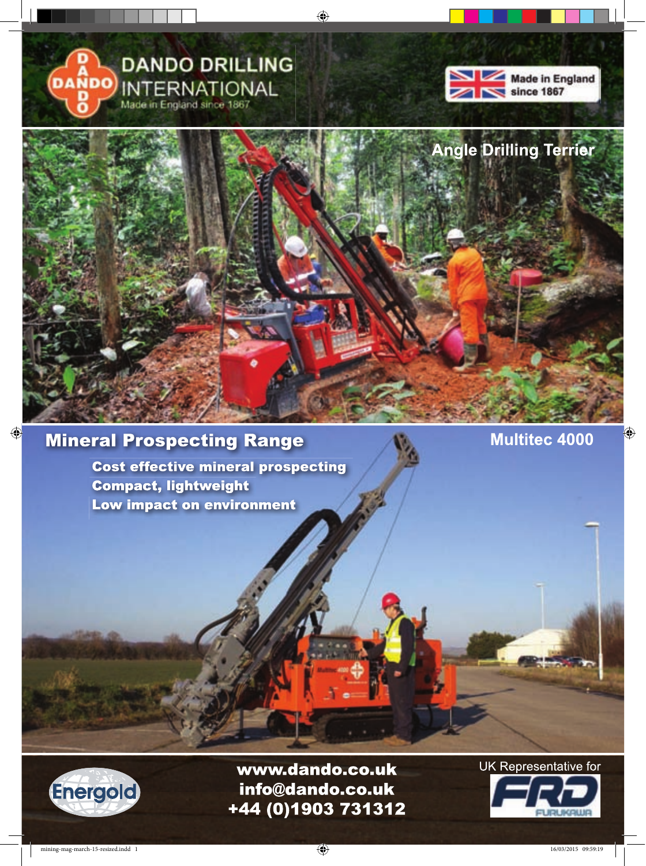





### **Mineral Prospecting Range**

**Cost effective mineral prospecting Compact, lightweight** Low impact on environment

**Multitec 4000** 



www.dando.co.uk info@dando.co.uk +44 (0)1903 731312 **UK Representative for** 

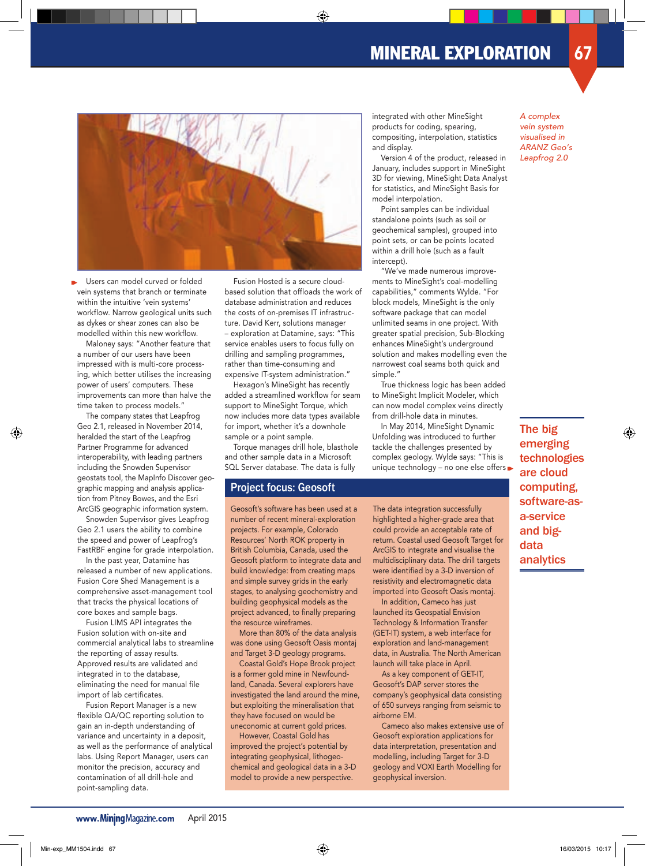

Users can model curved or folded vein systems that branch or terminate within the intuitive 'vein systems' workflow. Narrow geological units such as dykes or shear zones can also be modelled within this new workflow.

Maloney says: "Another feature that a number of our users have been impressed with is multi-core processing, which better utilises the increasing power of users' computers. These improvements can more than halve the time taken to process models."

The company states that Leapfrog Geo 2.1, released in November 2014, heralded the start of the Leapfrog Partner Programme for advanced interoperability, with leading partners including the Snowden Supervisor geostats tool, the MapInfo Discover geographic mapping and analysis application from Pitney Bowes, and the Esri ArcGIS geographic information system.

Snowden Supervisor gives Leapfrog Geo 2.1 users the ability to combine the speed and power of Leapfrog's FastRBF engine for grade interpolation.

In the past year, Datamine has released a number of new applications. Fusion Core Shed Management is a comprehensive asset-management tool that tracks the physical locations of core boxes and sample bags.

Fusion LIMS API integrates the Fusion solution with on-site and commercial analytical labs to streamline the reporting of assay results. Approved results are validated and integrated in to the database, eliminating the need for manual file import of lab certificates.

Fusion Report Manager is a new flexible QA/QC reporting solution to gain an in-depth understanding of variance and uncertainty in a deposit, as well as the performance of analytical labs. Using Report Manager, users can monitor the precision, accuracy and contamination of all drill-hole and point-sampling data.

Fusion Hosted is a secure cloudbased solution that offloads the work of database administration and reduces the costs of on-premises IT infrastructure. David Kerr, solutions manager – exploration at Datamine, says: "This service enables users to focus fully on drilling and sampling programmes, rather than time-consuming and expensive IT-system administration."

Hexagon's MineSight has recently added a streamlined workflow for seam support to MineSight Torque, which now includes more data types available for import, whether it's a downhole sample or a point sample.

Torque manages drill hole, blasthole and other sample data in a Microsoft SQL Server database. The data is fully

### Project focus: Geosoft

Geosoft's software has been used at a number of recent mineral-exploration projects. For example, Colorado Resources' North ROK property in British Columbia, Canada, used the Geosoft platform to integrate data and build knowledge: from creating maps and simple survey grids in the early stages, to analysing geochemistry and building geophysical models as the project advanced, to finally preparing the resource wireframes.

More than 80% of the data analysis was done using Geosoft Oasis montaj and Target 3-D geology programs.

Coastal Gold's Hope Brook project is a former gold mine in Newfoundland, Canada. Several explorers have investigated the land around the mine, but exploiting the mineralisation that they have focused on would be uneconomic at current gold prices.

However, Coastal Gold has improved the project's potential by integrating geophysical, lithogeochemical and geological data in a 3-D model to provide a new perspective.

integrated with other MineSight products for coding, spearing, compositing, interpolation, statistics and display.

Version 4 of the product, released in January, includes support in MineSight 3D for viewing, MineSight Data Analyst for statistics, and MineSight Basis for model interpolation.

Point samples can be individual standalone points (such as soil or geochemical samples), grouped into point sets, or can be points located within a drill hole (such as a fault intercept).

"We've made numerous improvements to MineSight's coal-modelling capabilities," comments Wylde. "For block models, MineSight is the only software package that can model unlimited seams in one project. With greater spatial precision, Sub-Blocking enhances MineSight's underground solution and makes modelling even the narrowest coal seams both quick and simple."

True thickness logic has been added to MineSight Implicit Modeler, which can now model complex veins directly from drill-hole data in minutes.

In May 2014, MineSight Dynamic Unfolding was introduced to further tackle the challenges presented by complex geology. Wylde says: "This is unique technology - no one else offers

The data integration successfully highlighted a higher-grade area that could provide an acceptable rate of return. Coastal used Geosoft Target for ArcGIS to integrate and visualise the multidisciplinary data. The drill targets were identified by a 3-D inversion of resistivity and electromagnetic data imported into Geosoft Oasis montaj.

In addition, Cameco has just launched its Geospatial Envision Technology & Information Transfer (GET-IT) system, a web interface for exploration and land-management data, in Australia. The North American launch will take place in April.

As a key component of GET-IT, Geosoft's DAP server stores the company's geophysical data consisting of 650 surveys ranging from seismic to airborne EM.

Cameco also makes extensive use of Geosoft exploration applications for data interpretation, presentation and modelling, including Target for 3-D geology and VOXI Earth Modelling for geophysical inversion.

A complex vein system visualised in ARANZ Geo's Leapfrog 2.0

The big emerging technologies are cloud computing, software-asa-service and bigdata analytics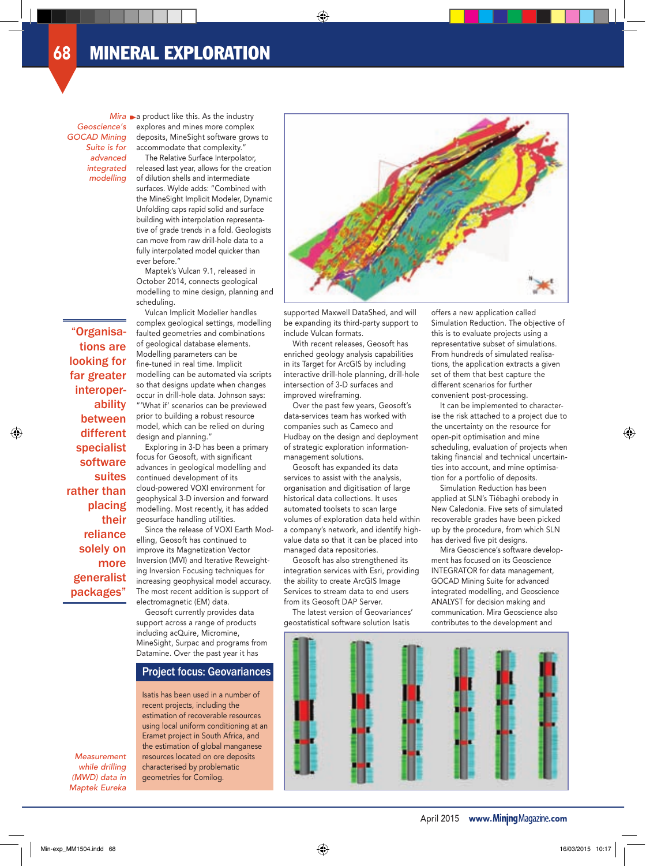Geoscience's GOCAD Mining Suite is for advanced integrated modelling

"Organisations are looking for far greater interoperability between different specialist software suites rather than placing their reliance solely on more generalist packages"

 $Mira \rightarrow a$  product like this. As the industry explores and mines more complex deposits, MineSight software grows to accommodate that complexity."

> The Relative Surface Interpolator, released last year, allows for the creation of dilution shells and intermediate surfaces. Wylde adds: "Combined with the MineSight Implicit Modeler, Dynamic Unfolding caps rapid solid and surface building with interpolation representative of grade trends in a fold. Geologists can move from raw drill-hole data to a fully interpolated model quicker than ever before."

Maptek's Vulcan 9.1, released in October 2014, connects geological modelling to mine design, planning and scheduling.

Vulcan Implicit Modeller handles complex geological settings, modelling faulted geometries and combinations of geological database elements. Modelling parameters can be fine-tuned in real time. Implicit modelling can be automated via scripts so that designs update when changes occur in drill-hole data. Johnson says: "'What if' scenarios can be previewed prior to building a robust resource model, which can be relied on during design and planning."

Exploring in 3-D has been a primary focus for Geosoft, with significant advances in geological modelling and continued development of its cloud-powered VOXI environment for geophysical 3-D inversion and forward modelling. Most recently, it has added geosurface handling utilities.

Since the release of VOXI Earth Modelling, Geosoft has continued to improve its Magnetization Vector Inversion (MVI) and Iterative Reweighting Inversion Focusing techniques for increasing geophysical model accuracy. The most recent addition is support of electromagnetic (EM) data.

Geosoft currently provides data support across a range of products including acQuire, Micromine, MineSight, Surpac and programs from Datamine. Over the past year it has

### Project focus: Geovariances

Isatis has been used in a number of recent projects, including the estimation of recoverable resources using local uniform conditioning at an Eramet project in South Africa, and the estimation of global manganese resources located on ore deposits characterised by problematic geometries for Comilog.



supported Maxwell DataShed, and will be expanding its third-party support to include Vulcan formats.

With recent releases, Geosoft has enriched geology analysis capabilities in its Target for ArcGIS by including interactive drill-hole planning, drill-hole intersection of 3-D surfaces and improved wireframing.

Over the past few years, Geosoft's data-services team has worked with companies such as Cameco and Hudbay on the design and deployment of strategic exploration informationmanagement solutions.

Geosoft has expanded its data services to assist with the analysis, organisation and digitisation of large historical data collections. It uses automated toolsets to scan large volumes of exploration data held within a company's network, and identify highvalue data so that it can be placed into managed data repositories.

Geosoft has also strengthened its integration services with Esri, providing the ability to create ArcGIS Image Services to stream data to end users from its Geosoft DAP Server.

The latest version of Geovariances' geostatistical software solution Isatis

offers a new application called Simulation Reduction. The objective of this is to evaluate projects using a representative subset of simulations. From hundreds of simulated realisations, the application extracts a given set of them that best capture the different scenarios for further convenient post-processing.

It can be implemented to characterise the risk attached to a project due to the uncertainty on the resource for open-pit optimisation and mine scheduling, evaluation of projects when taking financial and technical uncertainties into account, and mine optimisation for a portfolio of deposits.

Simulation Reduction has been applied at SLN's Tiébaghi orebody in New Caledonia. Five sets of simulated recoverable grades have been picked up by the procedure, from which SLN has derived five pit designs.

Mira Geoscience's software development has focused on its Geoscience INTEGRATOR for data management, GOCAD Mining Suite for advanced integrated modelling, and Geoscience ANALYST for decision making and communication. Mira Geoscience also contributes to the development and



Measurement while drilling (MWD) data in Maptek Eureka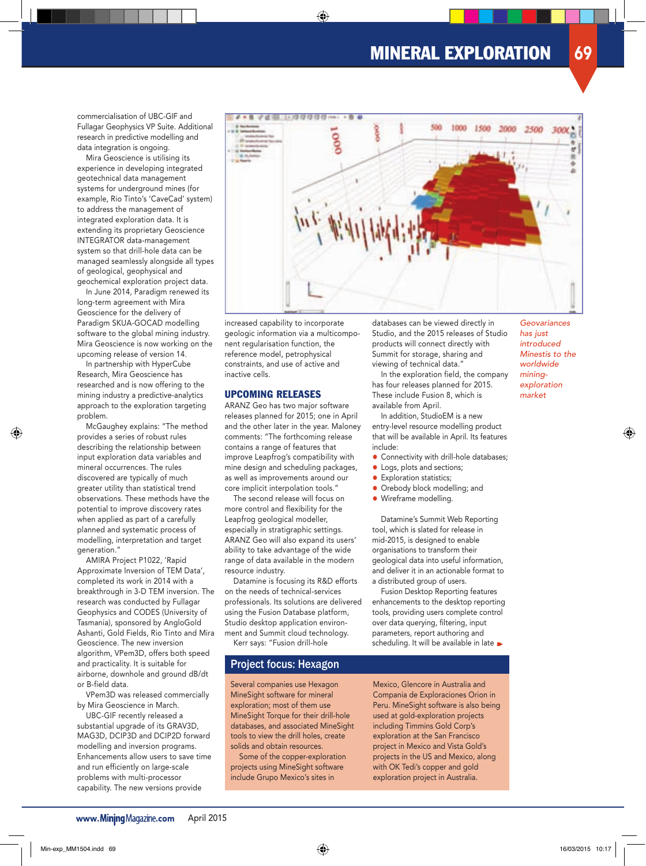commercialisation of UBC-GIF and Fullagar Geophysics VP Suite. Additional research in predictive modelling and data integration is ongoing.

Mira Geoscience is utilising its experience in developing integrated geotechnical data management systems for underground mines (for example, Rio Tinto's 'CaveCad' system) to address the management of integrated exploration data. It is extending its proprietary Geoscience INTEGRATOR data-management system so that drill-hole data can be managed seamlessly alongside all types of geological, geophysical and geochemical exploration project data.

In June 2014, Paradigm renewed its long-term agreement with Mira Geoscience for the delivery of Paradigm SKUA-GOCAD modelling software to the global mining industry. Mira Geoscience is now working on the upcoming release of version 14.

In partnership with HyperCube Research, Mira Geoscience has researched and is now offering to the mining industry a predictive-analytics approach to the exploration targeting problem.

McGaughey explains: "The method provides a series of robust rules describing the relationship between input exploration data variables and mineral occurrences. The rules discovered are typically of much greater utility than statistical trend observations. These methods have the potential to improve discovery rates when applied as part of a carefully planned and systematic process of modelling, interpretation and target generation."

AMIRA Project P1022, 'Rapid Approximate Inversion of TEM Data', completed its work in 2014 with a breakthrough in 3-D TEM inversion. The research was conducted by Fullagar Geophysics and CODES (University of Tasmania), sponsored by AngloGold Ashanti, Gold Fields, Rio Tinto and Mira Geoscience. The new inversion algorithm, VPem3D, offers both speed and practicality. It is suitable for airborne, downhole and ground dB/dt or B-field data.

VPem3D was released commercially by Mira Geoscience in March.

UBC-GIF recently released a substantial upgrade of its GRAV3D, MAG3D, DCIP3D and DCIP2D forward modelling and inversion programs. Enhancements allow users to save time and run efficiently on large-scale problems with multi-processor capability. The new versions provide



increased capability to incorporate geologic information via a multicomponent regularisation function, the reference model, petrophysical constraints, and use of active and inactive cells.

### UPCOMING RELEASES

ARANZ Geo has two major software releases planned for 2015; one in April and the other later in the year. Maloney comments: "The forthcoming release contains a range of features that improve Leapfrog's compatibility with mine design and scheduling packages, as well as improvements around our core implicit interpolation tools."

The second release will focus on more control and flexibility for the Leapfrog geological modeller, especially in stratigraphic settings. ARANZ Geo will also expand its users' ability to take advantage of the wide range of data available in the modern resource industry.

Datamine is focusing its R&D efforts on the needs of technical-services professionals. Its solutions are delivered using the Fusion Database platform, Studio desktop application environment and Summit cloud technology. Kerr says: "Fusion drill-hole

### Project focus: Hexagon

Several companies use Hexagon MineSight software for mineral exploration; most of them use MineSight Torque for their drill-hole databases, and associated MineSight tools to view the drill holes, create solids and obtain resources.

Some of the copper-exploration projects using MineSight software include Grupo Mexico's sites in

databases can be viewed directly in Studio, and the 2015 releases of Studio products will connect directly with Summit for storage, sharing and viewing of technical data."

In the exploration field, the company has four releases planned for 2015. These include Fusion 8, which is available from April.

In addition, StudioEM is a new entry-level resource modelling product that will be available in April. Its features include:

- Connectivity with drill-hole databases;
- Logs, plots and sections;
- Exploration statistics;
- Orebody block modelling; and
- Wireframe modelling.

Datamine's Summit Web Reporting tool, which is slated for release in mid-2015, is designed to enable organisations to transform their geological data into useful information, and deliver it in an actionable format to a distributed group of users.

Fusion Desktop Reporting features enhancements to the desktop reporting tools, providing users complete control over data querying, filtering, input parameters, report authoring and scheduling. It will be available in late  $\blacktriangleright$ 

Mexico, Glencore in Australia and Compania de Exploraciones Orion in Peru. MineSight software is also being used at gold-exploration projects including Timmins Gold Corp's exploration at the San Francisco project in Mexico and Vista Gold's projects in the US and Mexico, along with OK Tedi's copper and gold exploration project in Australia.

Geovariances has just introduced Minestis to the worldwide miningexploration market